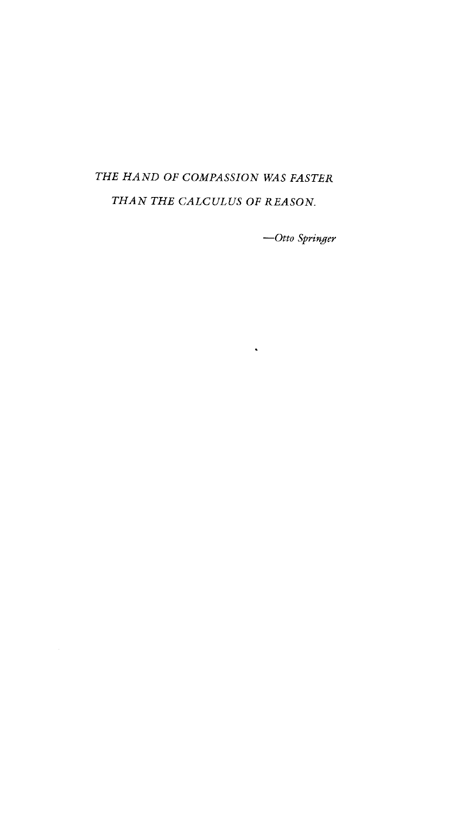## THE HAND OF COMPASSION WAS FASTER *THAN THE CALCULUS OF REASON.*

-Otto Springer

 $\mathbf{v}$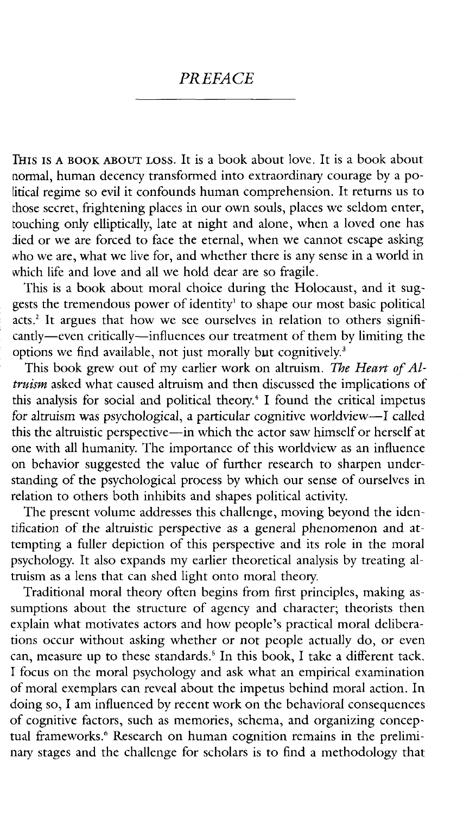## *PREFACE*

THIS IS A BOOK ABOUT LOSS. It is a book about love. It is a book about normal, human decency transformed into extraordinary courage by a political regime so evil it confounds human comprehension. It returns us to those secret, frightening places in our own souls, places we seldom enter, touching only elliptically, late at night and alone, when a loved one has died or we are forced to face the eternal, when we cannot escape asking who we are, what we live for, and whether there is any sense in a world in which life and love and all we hold dear are so fragile.

This is a book about moral choice during the Holocaust, and it suggests the tremendous power of identity' to shape our most basic political  $\frac{1}{\pi}$  acts.<sup>2</sup> It argues that how we see ourselves in relation to others significantly—even critically—influences our treatment of them by limiting the options we find available, not just morally but cognitively.3

This book grew out of my earlier work on altruism. *The Heart of Altruism* asked what caused altruism and then discussed the implications of this analysis for social and political theory.<sup>4</sup> I found the critical impetus for altruism was psychological, a particular cognitive worldview— I called this the altruistic perspective—in which the actor saw himself or herself at one with all humanity. The importance of this worldview as an influence on behavior suggested the value of further research to sharpen understanding of the psychological process by which our sense of ourselves in relation to others both inhibits and shapes political activity.

The present volume addresses this challenge, moving beyond the identification of the altruistic perspective as a general phenomenon and attempting a fuller depiction of this perspective and its role in the moral psychology. It also expands my earlier theoretical analysis by treating altruism as a lens that can shed light onto moral theory.

Traditional moral theory often begins from first principles, making assumptions about the structure of agency and character; theorists then explain what motivates actors and how people's practical moral deliberations occur without asking whether or not people actually do, or even can, measure up to these standards.<sup>5</sup> In this book, I take a different tack. I focus on the moral psychology and ask what an empirical examination of moral exemplars can reveal about the impetus behind moral action. In doing so, I am influenced by recent work on the behavioral consequences of cognitive factors, such as memories, schema, and organizing conceptual frameworks.<sup>6</sup> Research on human cognition remains in the preliminary stages and the challenge for scholars is to find a methodology that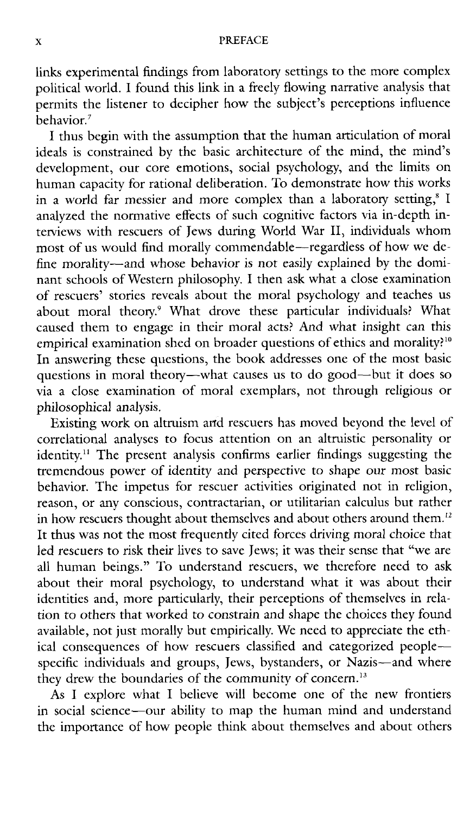links experimental findings from laboratory settings to the more complex political world. I found this link in a freely flowing narrative analysis that permits the listener to decipher how the subject's perceptions influence  $\frac{1}{2}$ behavior<sup>7</sup>

I thus begin with the assumption that the human articulation of moral ideals is constrained by the basic architecture of the mind, the mind's development, our core emotions, social psychology, and the limits on human capacity for rational deliberation. To demonstrate how this works in a world far messier and more complex than a laboratory setting,<sup>8</sup> I analyzed the normative effects of such cognitive factors via in-depth interviews with rescuers of Jews during World War II, individuals whom most of us would find morally commendable— regardless of how we define morality— and whose behavior is not easily explained by the dominant schools of Western philosophy. I then ask what a close examination of rescuers' stories reveals about the moral psychology and teaches us about moral theory.<sup>9</sup> What drove these particular individuals? What caused them to engage in their moral acts? And what insight can this empirical examination shed on broader questions of ethics and morality?<sup>10</sup> In answering these questions, the book addresses one of the most basic questions in moral theory—what causes us to do good—but it does so  $\overrightarrow{v}$ ia a close examination of moral exemplars, not through religious or philosophical analysis.

Existing work on altruism and rescuers has moved beyond the level of correlational analyses to focus attention on an altruistic personality or identity.11 The present analysis confirms earlier findings suggesting the tremendous power of identity and perspective to shape our most basic behavior. The impetus for rescuer activities originated not in religion, reason, or any conscious, contractarian, or utilitarian calculus but rather in how rescuers thought about themselves and about others around them.<sup>12</sup> It thus was not the most frequently cited forces driving moral choice that led rescuers to risk their lives to save Jews; it was their sense that "we are all human beings." To understand rescuers, we therefore need to ask about their moral psychology, to understand what it was about their identities and, more particularly, their perceptions of themselves in relation to others that worked to constrain and shape the choices they found available, not just morally but empirically. We need to appreciate the ethical consequences of how rescuers classified and categorized people specific individuals and groups, Jews, bystanders, or Nazis—and where they drew the boundaries of the community of concern.<sup>13</sup>

As I explore what I believe will become one of the new frontiers in social science— our ability to map the human mind and understand the importance of how people think about themselves and about others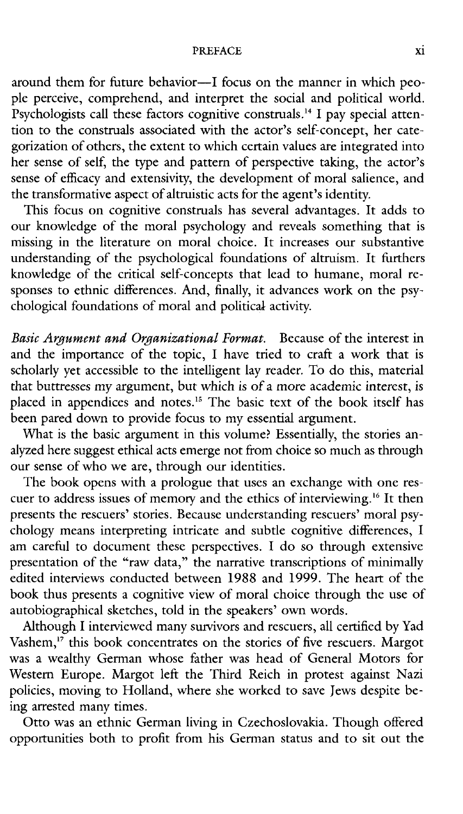#### **PREFACE** XI

around them for future behavior—I focus on the manner in which people perceive, comprehend, and interpret the social and political world. Psychologists call these factors cognitive construals.14 I pay special attention to the construals associated with the actor's self-concept, her categorization of others, the extent to which certain values are integrated into her sense of self, the type and pattern of perspective taking, the actor's sense of efficacy and extensivity, the development of moral salience, and the transformative aspect of altruistic acts for the agent's identity.

This focus on cognitive construals has several advantages. It adds to our knowledge of the moral psychology and reveals something that is missing in the literature on moral choice. It increases our substantive understanding of the psychological foundations of altruism. It furthers knowledge of the critical self-concepts that lead to humane, moral responses to ethnic differences. And, finally, it advances work on the psychological foundations of moral and political activity.

*Basic Argument and Organizational Format.* Because of the interest in and the importance of the topic, I have tried to craft a work that is scholarly yet accessible to the intelligent lay reader. To do this, material that buttresses my argument, but which is of a more academic interest, is placed in appendices and notes.15 The basic text of the book itself has been pared down to provide focus to my essential argument.

What is the basic argument in this volume? Essentially, the stories analyzed here suggest ethical acts emerge not from choice so much as through our sense of who we are, through our identities.

The book opens with a prologue that uses an exchange with one rescuer to address issues of memory and the ethics of interviewing.<sup>16</sup> It then presents the rescuers' stories. Because understanding rescuers' moral psychology means interpreting intricate and subtle cognitive differences, I am careful to document these perspectives. I do so through extensive presentation of the "raw data," the narrative transcriptions of minimally edited interviews conducted between 1988 and 1999. The heart of the book thus presents a cognitive view of moral choice through the use of autobiographical sketches, told in the speakers' own words.

Although I interviewed many survivors and rescuers, all certified by Yad Vashem,17 this book concentrates on the stories of five rescuers. Margot was a wealthy German whose father was head of General Motors for Western Europe. Margot left the Third Reich in protest against Nazi policies, moving to Holland, where she worked to save Jews despite being arrested many times.

Otto was an ethnic German living in Czechoslovakia. Though offered opportunities both to profit from his German status and to sit out the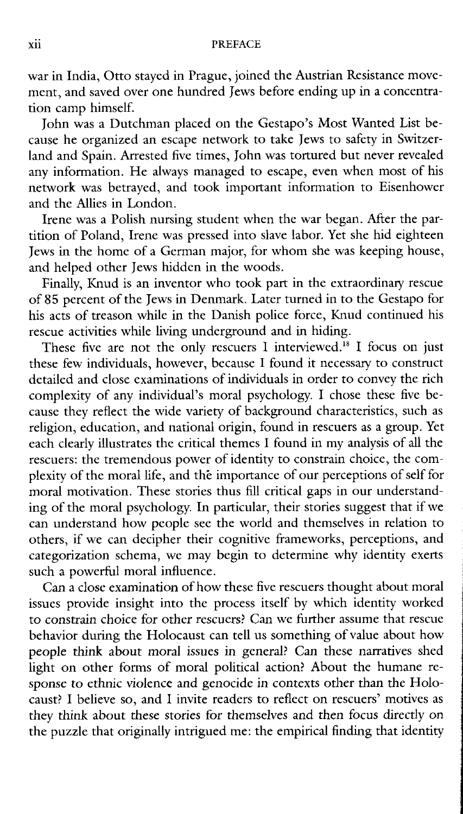war in India, Otto stayed in Prague, joined the Austrian Resistance movement, and saved over one hundred Jews before ending up in a concentration camp himself.

John was a Dutchman placed on the Gestapo's Most Wanted List because he organized an escape network to take Jews to safety in Switzerland and Spain. Arrested five times, John was tortured but never revealed any information. He always managed to escape, even when most of his network was betrayed, and took important information to Eisenhower and the Allies in London.

Irene was a Polish nursing student when the war began. After the partition of Poland, Irene was pressed into slave labor. Yet she hid eighteen Jews in the home of a German major, for whom she was keeping house, and helped other Jews hidden in the woods.

Finally, Knud is an inventor who took part in the extraordinary rescue of 85 percent of the Jews in Denmark. Later turned in to the Gestapo for his acts of treason while in the Danish police force, Knud continued his rescue activities while living underground and in hiding.

These five are not the only rescuers I interviewed.<sup>18</sup> I focus on just these few individuals, however, because I found it necessary to construct detailed and close examinations of individuals in order to convey the rich complexity of any individual's moral psychology. I chose these five because they reflect the wide variety of background characteristics, such as religion, education, and national origin, found in rescuers as a group. Yet each clearly illustrates the critical themes I found in my analysis of all the rescuers: the tremendous power of identity to constrain choice, the complexity of the moral life, and the importance of our perceptions of self for moral motivation. These stories thus fill critical gaps in our understanding of the moral psychology. In particular, their stories suggest that if we can understand how people see the world and themselves in relation to others, if we can decipher their cognitive frameworks, perceptions, and categorization schema, we may begin to determine why identity exerts such a powerful moral influence.

Can a close examination of how these five rescuers thought about moral issues provide insight into the process itself by which identity worked to constrain choice for other rescuers? Can we further assume that rescue behavior during the Holocaust can tell us something of value about how people think about moral issues in general? Can these narratives shed light on other forms of moral political action? About the humane response to ethnic violence and genocide in contexts other than the Holocaust? I believe so, and I invite readers to reflect on rescuers' motives as they think about these stories for themselves and then focus directly on the puzzle that originally intrigued me: the empirical finding that identity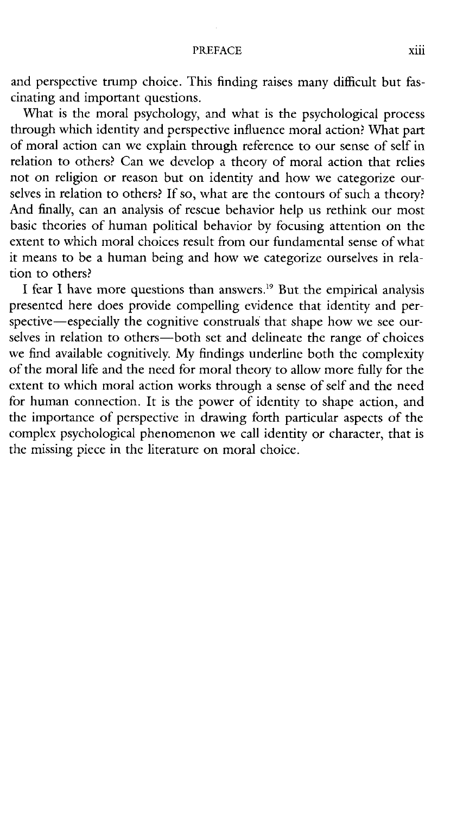and perspective trump choice. This finding raises many difficult but fascinating and important questions.

What is the moral psychology, and what is the psychological process through which identity and perspective influence moral action? What part of moral action can we explain through reference to our sense of self in relation to others? Can we develop a theory of moral action that relies not on religion or reason but on identity and how we categorize ourselves in relation to others? If so, what are the contours of such a theory? And finally, can an analysis of rescue behavior help us rethink our most basic theories of human political behavior by focusing attention on the extent to which moral choices result from our fundamental sense of what it means to be a human being and how we categorize ourselves in relation to others?

I fear I have more questions than answers.<sup>19</sup> But the empirical analysis presented here does provide compelling evidence that identity and perspective— especially the cognitive construals that shape how we see ourselves in relation to others—both set and delineate the range of choices we find available cognitively. My findings underline both the complexity of the moral life and the need for moral theory to allow more fully for the extent to which moral action works through a sense of self and the need for human connection. It is the power of identity to shape action, and the importance of perspective in drawing forth particular aspects of the complex psychological phenomenon we call identity or character, that is the missing piece in the literature on moral choice.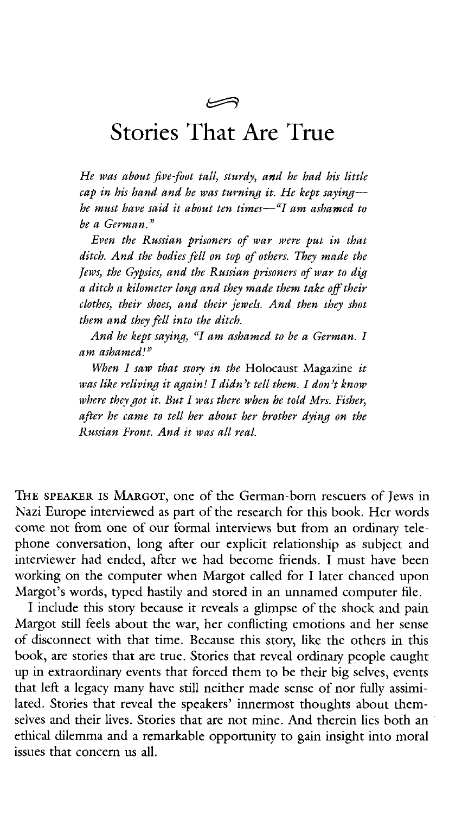### ڪ

# Stories That Are True

*He was about five-foot tall, sturdy, and he had his little cap in his hand and he was turning it. He kept saying he must have said it about ten times— "I am ashamed to be a German."*

*Even the Russian prisoners of war were put in that* ditch. And the bodies fell on top of others. They made the *Jews, the Gypsies, and the Russian prisoners of war to dia a ditch a kilometer long and they made them take off their clothes, their shoes, and their jewels. And then they shot them and they fell into the ditch.*

*A n d he kept saying, "I am ashamed to be a German. I am ashamed!"*

*When I saw that story in the* Holocaust Magazine *it was like reliving it again! I d id n 't tell them. I don't know where they got it. But I was there when he told Mrs. Fisher, after he came to tell her about her brother dying on the Russian Front. A n d it was all real.*

THE SPEAKER IS MARGOT, one of the German-born rescuers of Jews in Nazi Europe interviewed as part of the research for this book. Her words come not from one of our formal interviews but from an ordinary telephone conversation, long after our explicit relationship as subject and interviewer had ended, after we had become friends. I must have been working on the computer when Margot called for I later chanced upon Margot's words, typed hastily and stored in an unnamed computer file.

I include this story because it reveals a glimpse of the shock and pain Margot still feels about the war, her conflicting emotions and her sense of disconnect with that time. Because this story, like the others in this book, are stories that are true. Stories that reveal ordinary people caught up in extraordinary events that forced them to be their big selves, events that left a legacy many have still neither made sense of nor fully assimilated. Stories that reveal the speakers' innermost thoughts about them selves and their lives. Stories that are not mine. And therein lies both an ethical dilemma and a remarkable opportunity to gain insight into moral issues that concern us all.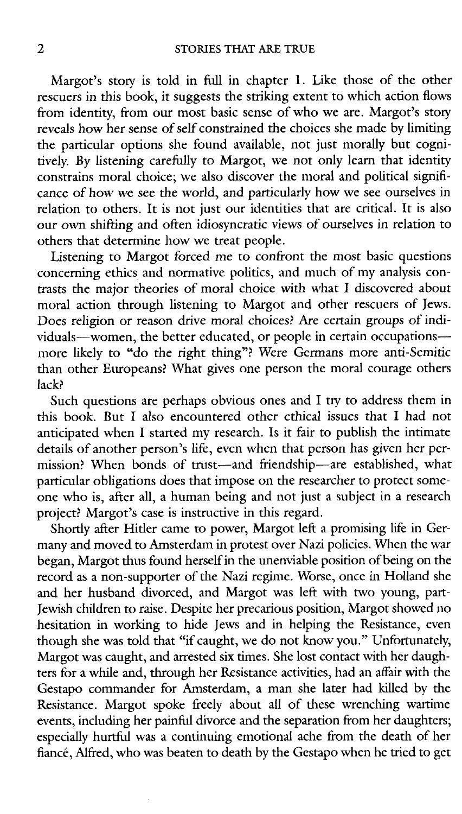Margot's story is told in full in chapter 1. Like those of the other rescuers in this book, it suggests the striking extent to which action flows from identity, from our most basic sense of who we are. Margot's story reveals how her sense of self constrained the choices she made by limiting the particular options she found available, not just morally but cognitively. By listening carefully to Margot, we not only learn that identity constrains moral choice; we also discover the moral and political significance of how we see the world, and particularly how we see ourselves in relation to others. It is not just our identities that are critical. It is also our own shifting and often idiosyncratic views of ourselves in relation to others that determine how we treat people.

Listening to Margot forced me to confront the most basic questions concerning ethics and normative politics, and much of my analysis contrasts the major theories of moral choice with what I discovered about moral action through listening to Margot and other rescuers of Jews. Does religion or reason drive moral choices? Are certain groups of individuals—women, the better educated, or people in certain occupations more likely to "do the right thing"? Were Germans more anti-Semitic than other Europeans? What gives one person the moral courage others lack?

Such questions are perhaps obvious ones and I try to address them in this book. But I also encountered other ethical issues that I had not anticipated when I started my research. Is it fair to publish the intimate details of another person's life, even when that person has given her permission? When bonds of trust— and friendship— are established, what particular obligations does that impose on the researcher to protect someone who is, after all, a human being and not just a subject in a research project? Margot's case is instructive in this regard.

Shortly after Hitler came to power, Margot left a promising life in Germany and moved to Amsterdam in protest over Nazi policies. When the war began, Margot thus found herself in the unenviable position of being on the record as a non-supporter of the Nazi regime. Worse, once in Holland she and her husband divorced, and Margot was left with two young, part-Jewish children to raise. Despite her precarious position, Margot showed no hesitation in working to hide Jews and in helping the Resistance, even though she was told that "if caught, we do not know you." Unfortunately, Margot was caught, and arrested six times. She lost contact with her daughters for a while and, through her Resistance activities, had an affair with the Gestapo commander for Amsterdam, a man she later had killed by the Resistance. Margot spoke freely about all of these wrenching wartime events, including her painful divorce and the separation from her daughters; especially hurtful was a continuing emotional ache from the death of her fiancé, Alfred, who was beaten to death by the Gestapo when he tried to get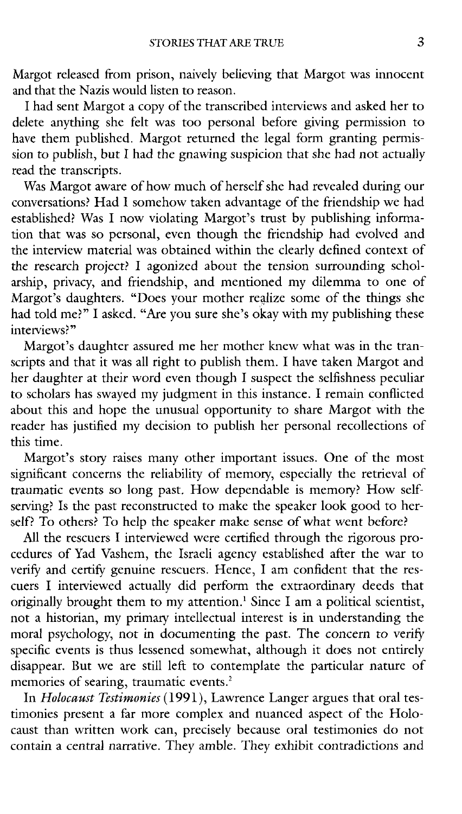Margot released from prison, naively believing that Margot was innocent and that the Nazis would listen to reason.

I had sent Margot a copy of the transcribed interviews and asked her to delete anything she felt was too personal before giving permission to have them published. Margot returned the legal form granting permission to publish, but I had the gnawing suspicion that she had not actually read the transcripts.

Was Margot aware of how much of herself she had revealed during our conversations? Had I somehow taken advantage of the friendship we had established? Was I now violating Margot's trust by publishing information that was so personal, even though the friendship had evolved and the interview material was obtained within the clearly defined context of the research project? I agonized about the tension surrounding scholarship, privacy, and friendship, and mentioned my dilemma to one of Margot's daughters. "Does your mother realize some of the things she had told me?" I asked. "Are you sure she's okay with my publishing these interviews?"

Margot's daughter assured me her mother knew what was in the transcripts and that it was all right to publish them. I have taken Margot and her daughter at their word even though I suspect the selfishness peculiar to scholars has swayed my judgment in this instance. I remain conflicted about this and hope the unusual opportunity to share Margot with the reader has justified my decision to publish her personal recollections of this time.

Margot's story raises many other important issues. One of the most significant concerns the reliability of memory, especially the retrieval of traumatic events so long past. How dependable is memory? How selfserving? Is the past reconstructed to make the speaker look good to herself? To others? To help the speaker make sense of what went before?

All the rescuers I interviewed were certified through the rigorous procedures of Yad Vashem, the Israeli agency established after the war to verify and certify genuine rescuers. Hence, I am confident that the rescuers I interviewed actually did perform the extraordinary deeds that originally brought them to my attention.<sup>1</sup> Since I am a political scientist, not a historian, my primary intellectual interest is in understanding the moral psychology, not in documenting the past. The concern to verify specific events is thus lessened somewhat, although it does not entirely disappear. But we are still left to contemplate the particular nature of memories of searing, traumatic events.<sup>2</sup>

In *Holocaust Testimonies* (1991), Lawrence Langer argues that oral testimonies present a far more complex and nuanced aspect of the Holocaust than written work can, precisely because oral testimonies do not contain a central narrative. They amble. They exhibit contradictions and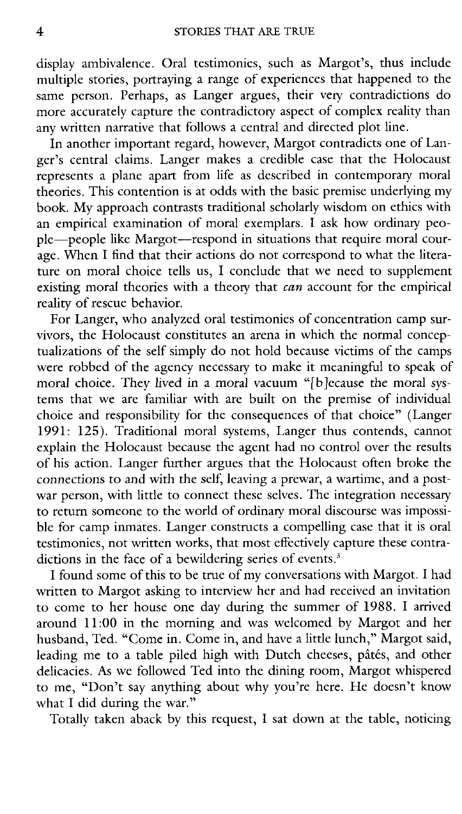display ambivalence. Oral testimonies, such as Margot's, thus include multiple stories, portraying a range of experiences that happened to the  $\frac{1}{2}$  same person. Perhaps, as Langer argues, their very contradictions do more accurately capture the contradictory aspect of complex reality than any written narrative that follows a central and directed plot line.

In another important regard, however, Margot contradicts one of Langer's central claims. Langer makes a credible case that the Holocaust represents a plane apart from life as described in contemporary moral theories. This contention is at odds with the basic premise underlying my book. My approach contrasts traditional scholarly wisdom on ethics with an empirical examination of moral exemplars. I ask how ordinary peo $p$  ple—people like Margot—respond in situations that require moral courage. When I find that their actions do not correspond to what the literature on moral choice tells us, I conclude that we need to supplement existing moral theories with a theory that *can* account for the empirical reality of rescue behavior.

For Langer, who analyzed oral testimonies of concentration camp survivors, the Holocaust constitutes an arena in which the normal conceptualizations of the self simply do not hold because victims of the camps were robbed of the agency necessary to make it meaningful to speak of moral choice. They lived in a moral vacuum "[bjecause the moral systems that we are familiar with are built on the premise of individual choice and responsibility for the consequences of that choice" (Langer 1991: 125). Traditional moral systems, Langer thus contends, cannot explain the Holocaust because the agent had no control over the results of his action. Langer further argues that the Holocaust often broke the connections to and with the self, leaving a prewar, a wartime, and a postwar person, with little to connect these selves. The integration necessary to return someone to the world of ordinary moral discourse was impossible for camp inmates. Langer constructs a compelling case that it is oral testimonies, not written works, that most effectively capture these contradictions in the face of a bewildering series of events.<sup>3</sup>

I found some of this to be true of my conversations with Margot. I had written to Margot asking to interview her and had received an invitation to come to her house one day during the summer of 1988. I arrived around 11:00 in the morning and was welcomed by Margot and her husband, Ted. "Come in. Come in, and have a little lunch," Margot said, leading me to a table piled high with Dutch cheeses, pâtés, and other delicacies. As we followed Ted into the dining room, Margot whispered to me, "Don't say anything about why you're here. He doesn't know what I did during the war."

Totally taken aback by this request, I sat down at the table, noticing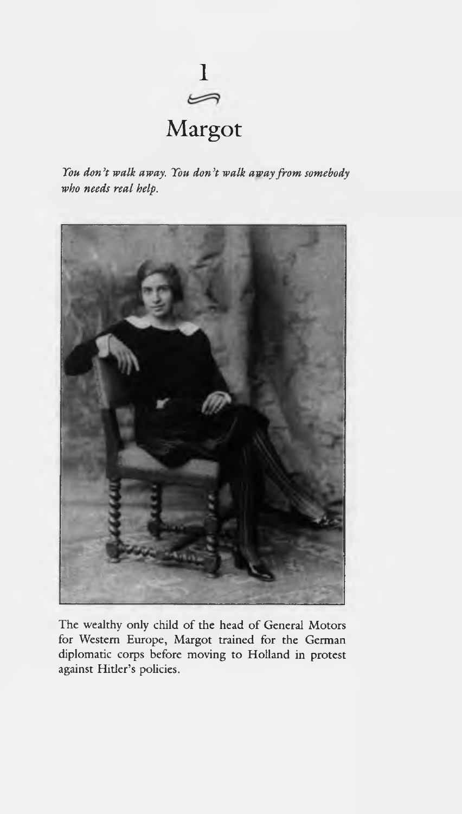

*You don't walk away. You don't walk away from somebody who needs real help.*



The wealthy only child of the head of General Motors for Western Europe, Margot trained for the German diplomatic corps before moving to Holland in protest against Hitler's policies.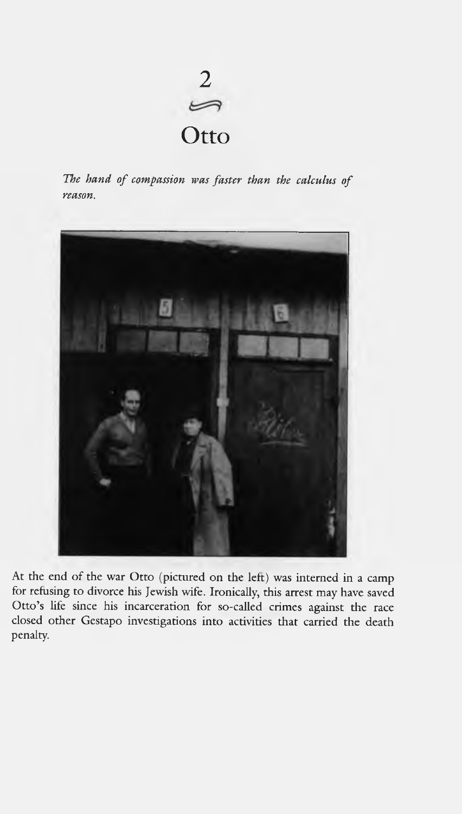

The hand of compassion was faster than the calculus of *reason.*



At the end of the war Otto (pictured on the left) was interned in a camp for refusing to divorce his Jewish wife. Ironically, this arrest may have saved Otto's life since his incarceration for so-called crimes against the race closed other Gestapo investigations into activities that carried the death penalty.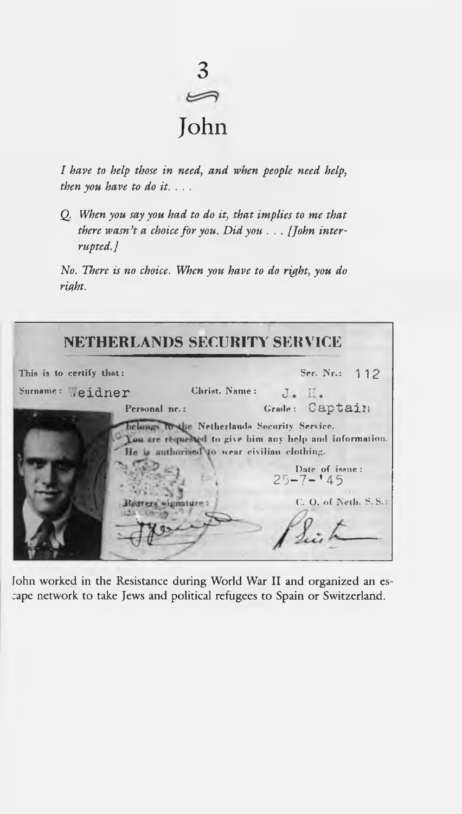

*I have to help those in need, and when people need help, then you have to do it. . . .*

*Q. When you say you had to do it, that implies to me that there wasn't a choice for you. Did you ... [John interrupted.]*

*No. There is no choice. When you have to do right, you do*  $right.$ 

|                                   | NETHERLANDS SECURITY SERVICE                                                                                                                                 |
|-----------------------------------|--------------------------------------------------------------------------------------------------------------------------------------------------------------|
| This is to certify that:          | Ser. Nr.: 112                                                                                                                                                |
| Surname: Jeidner<br>Personal pr.: | Christ. Name:<br>$J_*$ $\Pi_*$<br>Grade: Captain<br>belongs for the Netherlands Security Service.<br>You are requested to give him any help and information. |
|                                   | He is authorised to wear civilian clothing.<br>Date of issue:<br>$25 - 7 - 145$<br>C. O. of Neth. S.S.:                                                      |
|                                   | Luik                                                                                                                                                         |

John worked in the Resistance during World War II and organized an escape network to take Jews and political refugees to Spain or Switzerland.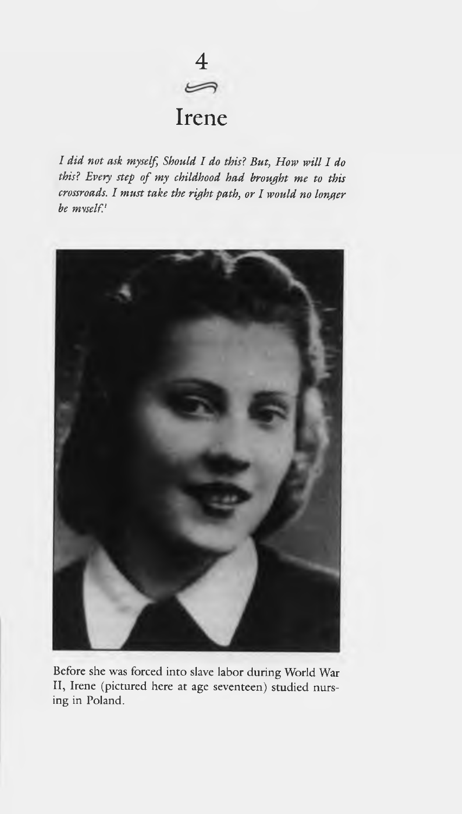

*I did not ask myself, Should I do this? But, How will I do* this? Every step of my childhood had brought me to this *crossroads. I must take the right path, or I would no longer be myself.'*



Before she was forced into slave labor during World War II, Irene (pictured here at age seventeen) studied nursing in Poland.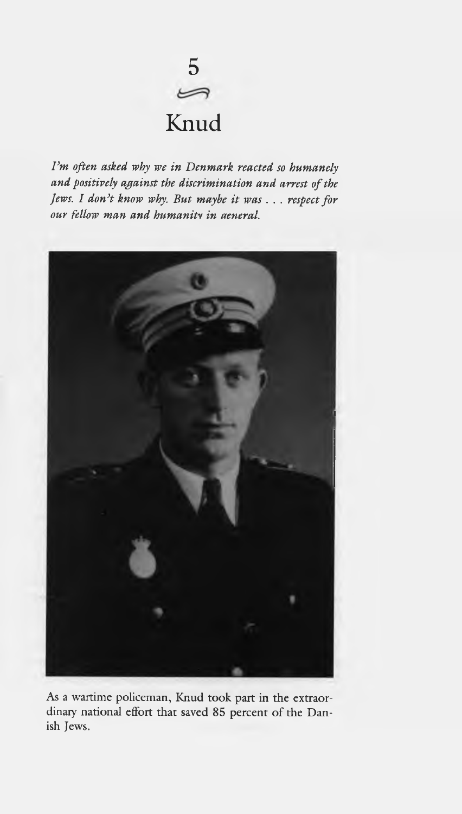# Knud  $\frac{5}{5}$

*I 'm often asked why we in Denmark reacted so humanely* and positively against the discrimination and arrest of the *Jews. I don't know why. But maybe it was . . . respect for our fellow man and humanity in aeneral.*



As a wartime policeman, Knud took part in the extraordinary national effort that saved 85 percent of the Danish Jews.